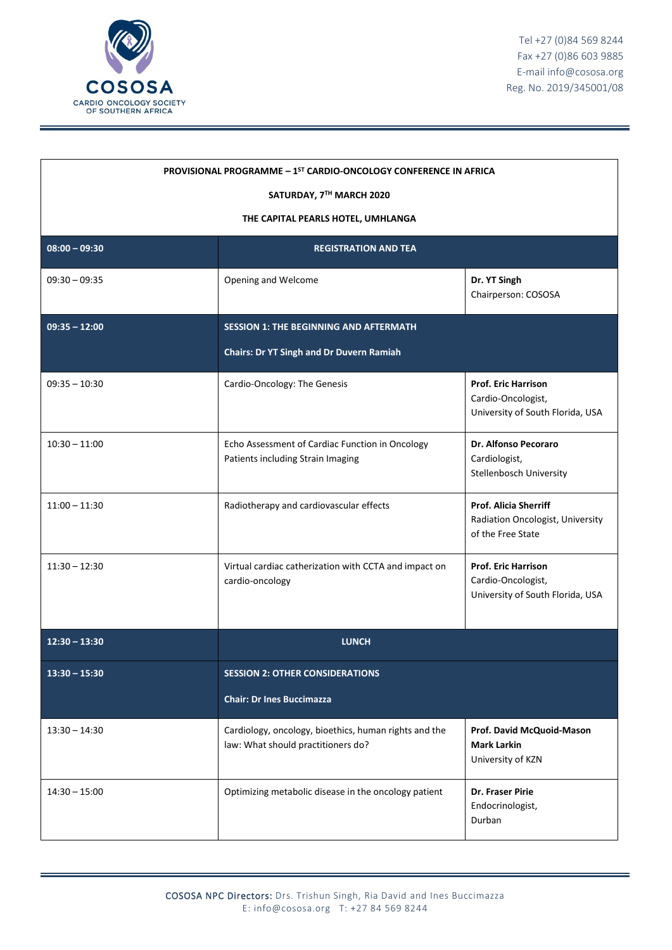

| PROVISIONAL PROGRAMME - 1ST CARDIO-ONCOLOGY CONFERENCE IN AFRICA<br>SATURDAY, 7TH MARCH 2020 |                                                                                                  |                                                                                       |  |
|----------------------------------------------------------------------------------------------|--------------------------------------------------------------------------------------------------|---------------------------------------------------------------------------------------|--|
| THE CAPITAL PEARLS HOTEL, UMHLANGA                                                           |                                                                                                  |                                                                                       |  |
| $08:00 - 09:30$                                                                              | <b>REGISTRATION AND TEA</b>                                                                      |                                                                                       |  |
| $09:30 - 09:35$                                                                              | Opening and Welcome                                                                              | Dr. YT Singh<br>Chairperson: COSOSA                                                   |  |
| $09:35 - 12:00$                                                                              | <b>SESSION 1: THE BEGINNING AND AFTERMATH</b><br><b>Chairs: Dr YT Singh and Dr Duvern Ramiah</b> |                                                                                       |  |
| $09:35 - 10:30$                                                                              | Cardio-Oncology: The Genesis                                                                     | <b>Prof. Eric Harrison</b><br>Cardio-Oncologist,<br>University of South Florida, USA  |  |
| $10:30 - 11:00$                                                                              | Echo Assessment of Cardiac Function in Oncology<br>Patients including Strain Imaging             | Dr. Alfonso Pecoraro<br>Cardiologist,<br>Stellenbosch University                      |  |
| $11:00 - 11:30$                                                                              | Radiotherapy and cardiovascular effects                                                          | <b>Prof. Alicia Sherriff</b><br>Radiation Oncologist, University<br>of the Free State |  |
| $11:30 - 12:30$                                                                              | Virtual cardiac catherization with CCTA and impact on<br>cardio-oncology                         | <b>Prof. Eric Harrison</b><br>Cardio-Oncologist,<br>University of South Florida, USA  |  |
| $12:30 - 13:30$                                                                              | <b>LUNCH</b>                                                                                     |                                                                                       |  |
| $13:30 - 15:30$                                                                              | <b>SESSION 2: OTHER CONSIDERATIONS</b><br><b>Chair: Dr Ines Buccimazza</b>                       |                                                                                       |  |
| $13:30 - 14:30$                                                                              | Cardiology, oncology, bioethics, human rights and the<br>law: What should practitioners do?      | Prof. David McQuoid-Mason<br><b>Mark Larkin</b><br>University of KZN                  |  |
| $14:30 - 15:00$                                                                              | Optimizing metabolic disease in the oncology patient                                             | Dr. Fraser Pirie<br>Endocrinologist,<br>Durban                                        |  |